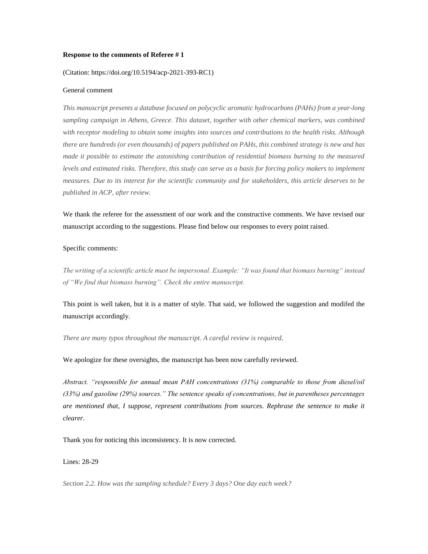#### **Response to the comments of Referee # 1**

# (Citation: https://doi.org/10.5194/acp-2021-393-RC1)

## General comment

*This manuscript presents a database focused on polycyclic aromatic hydrocarbons (PAHs) from a year-long sampling campaign in Athens, Greece. This dataset, together with other chemical markers, was combined with receptor modeling to obtain some insights into sources and contributions to the health risks. Although there are hundreds (or even thousands) of papers published on PAHs, this combined strategy is new and has made it possible to estimate the astonishing contribution of residential biomass burning to the measured levels and estimated risks. Therefore, this study can serve as a basis for forcing policy makers to implement measures. Due to its interest for the scientific community and for stakeholders, this article deserves to be published in ACP, after review.*

We thank the referee for the assessment of our work and the constructive comments. We have revised our manuscript according to the suggestions. Please find below our responses to every point raised.

## Specific comments:

*The writing of a scientific article must be impersonal. Example: "It was found that biomass burning" instead of "We find that biomass burning". Check the entire manuscript.*

This point is well taken, but it is a matter of style. That said, we followed the suggestion and modifed the manuscript accordingly.

*There are many typos throughout the manuscript. A careful review is required.*

We apologize for these oversights, the manuscript has been now carefully reviewed.

*Abstract. "responsible for annual mean PAH concentrations (31%) comparable to those from diesel/oil (33%) and gasoline (29%) sources." The sentence speaks of concentrations, but in parentheses percentages are mentioned that, I suppose, represent contributions from sources. Rephrase the sentence to make it clearer.*

Thank you for noticing this inconsistency. It is now corrected.

# Lines: 28-29

*Section 2.2. How was the sampling schedule? Every 3 days? One day each week?*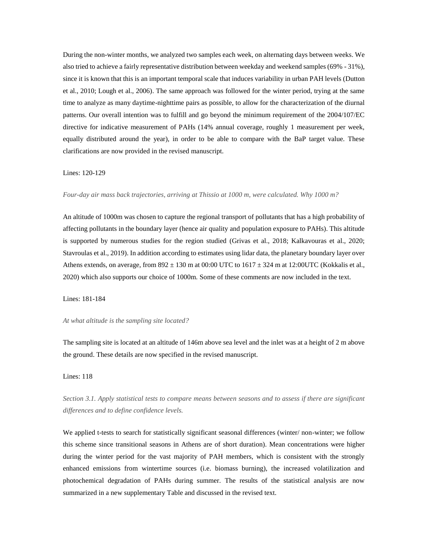During the non-winter months, we analyzed two samples each week, on alternating days between weeks. We also tried to achieve a fairly representative distribution between weekday and weekend samples (69% - 31%), since it is known that this is an important temporal scale that induces variability in urban PAH levels (Dutton et al., 2010; Lough et al., 2006). The same approach was followed for the winter period, trying at the same time to analyze as many daytime-nighttime pairs as possible, to allow for the characterization of the diurnal patterns. Our overall intention was to fulfill and go beyond the minimum requirement of the 2004/107/EC directive for indicative measurement of PAHs (14% annual coverage, roughly 1 measurement per week, equally distributed around the year), in order to be able to compare with the BaP target value. These clarifications are now provided in the revised manuscript.

# Lines: 120-129

*Four-day air mass back trajectories, arriving at Thissio at 1000 m, were calculated. Why 1000 m?* 

An altitude of 1000m was chosen to capture the regional transport of pollutants that has a high probability of affecting pollutants in the boundary layer (hence air quality and population exposure to PAHs). This altitude is supported by numerous studies for the region studied (Grivas et al., 2018; Kalkavouras et al., 2020; Stavroulas et al., 2019). In addition according to estimates using lidar data, the planetary boundary layer over Athens extends, on average, from  $892 \pm 130$  m at 00:00 UTC to  $1617 \pm 324$  m at 12:00UTC (Kokkalis et al., 2020) which also supports our choice of 1000m. Some of these comments are now included in the text.

Lines: 181-184

#### *At what altitude is the sampling site located?*

The sampling site is located at an altitude of 146m above sea level and the inlet was at a height of 2 m above the ground. These details are now specified in the revised manuscript.

## Lines: 118

*Section 3.1. Apply statistical tests to compare means between seasons and to assess if there are significant differences and to define confidence levels.* 

We applied t-tests to search for statistically significant seasonal differences (winter/ non-winter; we follow this scheme since transitional seasons in Athens are of short duration). Mean concentrations were higher during the winter period for the vast majority of PAH members, which is consistent with the strongly enhanced emissions from wintertime sources (i.e. biomass burning), the increased volatilization and photochemical degradation of PAHs during summer. The results of the statistical analysis are now summarized in a new supplementary Table and discussed in the revised text.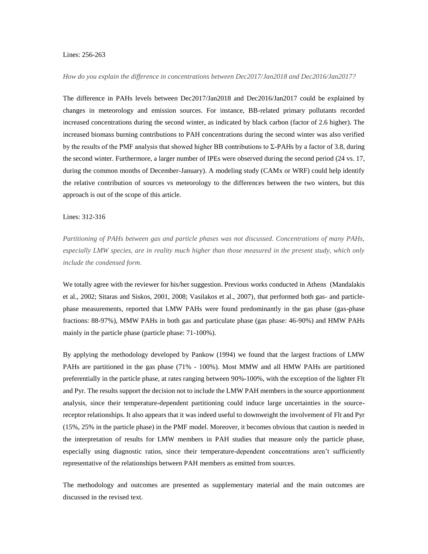## Lines: 256-263

# *How do you explain the difference in concentrations between Dec2017/Jan2018 and Dec2016/Jan2017?*

The difference in PAHs levels between Dec2017/Jan2018 and Dec2016/Jan2017 could be explained by changes in meteorology and emission sources. For instance, BB-related primary pollutants recorded increased concentrations during the second winter, as indicated by black carbon (factor of 2.6 higher). The increased biomass burning contributions to PAH concentrations during the second winter was also verified by the results of the PMF analysis that showed higher BB contributions to Σ-PAHs by a factor of 3.8, during the second winter. Furthermore, a larger number of IPEs were observed during the second period (24 vs. 17, during the common months of December-January). A modeling study (CAMx or WRF) could help identify the relative contribution of sources vs meteorology to the differences between the two winters, but this approach is out of the scope of this article.

#### Lines: 312-316

*Partitioning of PAHs between gas and particle phases was not discussed. Concentrations of many PAHs, especially LMW species, are in reality much higher than those measured in the present study, which only include the condensed form.* 

We totally agree with the reviewer for his/her suggestion. Previous works conducted in Athens (Mandalakis et al., 2002; Sitaras and Siskos, 2001, 2008; Vasilakos et al., 2007), that performed both gas- and particlephase measurements, reported that LMW PAHs were found predominantly in the gas phase (gas-phase fractions: 88-97%), MMW PAHs in both gas and particulate phase (gas phase: 46-90%) and HMW PAHs mainly in the particle phase (particle phase: 71-100%).

By applying the methodology developed by Pankow (1994) we found that the largest fractions of LMW PAHs are partitioned in the gas phase (71% - 100%). Most MMW and all HMW PAHs are partitioned preferentially in the particle phase, at rates ranging between 90%-100%, with the exception of the lighter Flt and Pyr. The results support the decision not to include the LMW PAH members in the source apportionment analysis, since their temperature-dependent partitioning could induce large uncertainties in the sourcereceptor relationships. It also appears that it was indeed useful to downweight the involvement of Flt and Pyr (15%, 25% in the particle phase) in the PMF model. Moreover, it becomes obvious that caution is needed in the interpretation of results for LMW members in PAH studies that measure only the particle phase, especially using diagnostic ratios, since their temperature-dependent concentrations aren't sufficiently representative of the relationships between PAH members as emitted from sources.

The methodology and outcomes are presented as supplementary material and the main outcomes are discussed in the revised text.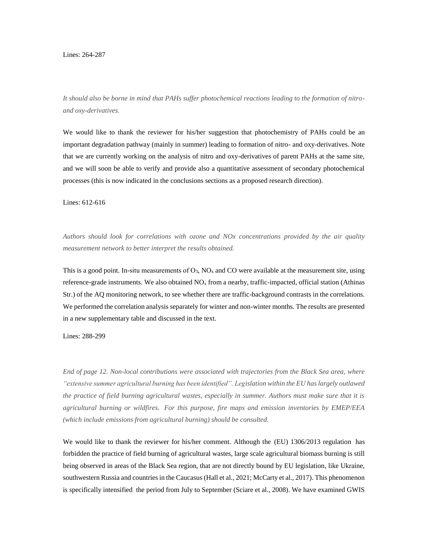#### Lines: 264-287

*It should also be borne in mind that PAHs suffer photochemical reactions leading to the formation of nitroand oxy-derivatives.* 

We would like to thank the reviewer for his/her suggestion that photochemistry of PAHs could be an important degradation pathway (mainly in summer) leading to formation of nitro- and oxy-derivatives. Note that we are currently working on the analysis of nitro and oxy-derivatives of parent PAHs at the same site, and we will soon be able to verify and provide also a quantitative assessment of secondary photochemical processes (this is now indicated in the conclusions sections as a proposed research direction).

Lines: 612-616

*Authors should look for correlations with ozone and NOx concentrations provided by the air quality measurement network to better interpret the results obtained.*

This is a good point. In-situ measurements of  $O_3$ , NO<sub>x</sub> and CO were available at the measurement site, using reference-grade instruments. We also obtained  $NO<sub>x</sub>$  from a nearby, traffic-impacted, official station (Athinas Str.) of the AQ monitoring network, to see whether there are traffic-background contrasts in the correlations. We performed the correlation analysis separately for winter and non-winter months. The results are presented in a new supplementary table and discussed in the text.

Lines: 288-299

*End of page 12. Non-local contributions were associated with trajectories from the Black Sea area, where "extensive summer agricultural burning has been identified". Legislation within the EU has largely outlawed the practice of field burning agricultural wastes, especially in summer. Authors must make sure that it is agricultural burning or wildfires. For this purpose, fire maps and emission inventories by EMEP/EEA (which include emissions from agricultural burning) should be consulted.*

We would like to thank the reviewer for his/her comment. Although the (EU) 1306/2013 regulation has forbidden the practice of field burning of agricultural wastes, large scale agricultural biomass burning is still being observed in areas of the Black Sea region, that are not directly bound by EU legislation, like Ukraine, southwestern Russia and countries in the Caucasus (Hall et al., 2021; McCarty et al., 2017). This phenomenon is specifically intensified the period from July to September (Sciare et al., 2008). We have examined GWIS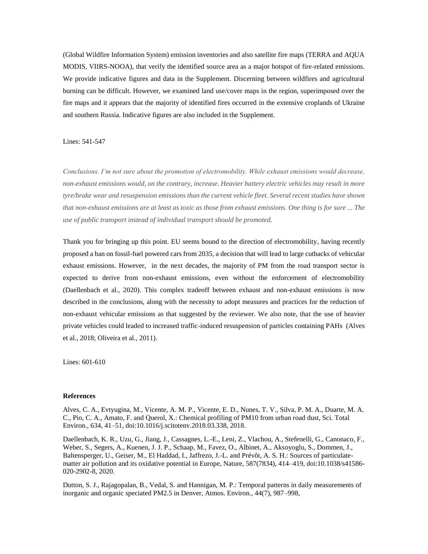(Global Wildfire Information System) emission inventories and also satellite fire maps (TERRA and AQUA MODIS, VIIRS-NOOA), that verify the identified source area as a major hotspot of fire-related emissions. We provide indicative figures and data in the Supplement. Discerning between wildfires and agricultural burning can be difficult. However, we examined land use/cover maps in the region, superimposed over the fire maps and it appears that the majority of identified fires occurred in the extensive croplands of Ukraine and southern Russia. Indicative figures are also included in the Supplement.

Lines: 541-547

*Conclusions. I'm not sure about the promotion of electromobility. While exhaust emissions would decrease, non-exhaust emissions would, on the contrary, increase. Heavier battery electric vehicles may result in more tyre/brake wear and resuspension emissions than the current vehicle fleet. Several recent studies have shown that non-exhaust emissions are at least as toxic as those from exhaust emissions. One thing is for sure ... The use of public transport instead of individual transport should be promoted.*

Thank you for bringing up this point. EU seems bound to the direction of electromobility, having recently proposed a ban on fossil-fuel powered cars from 2035, a decision that will lead to large cutbacks of vehicular exhaust emissions. However, in the next decades, the majority of PM from the road transport sector is expected to derive from non-exhaust emissions, even without the enforcement of electromobility (Daellenbach et al., 2020). This complex tradeoff between exhaust and non-exhaust emissions is now described in the conclusions, along with the necessity to adopt measures and practices for the reduction of non-exhaust vehicular emissions as that suggested by the reviewer. We also note, that the use of heavier private vehicles could leaded to increased traffic-induced resuspension of particles containing PAHs (Alves et al., 2018; Oliveira et al., 2011).

Lines: 601-610

# **References**

Alves, C. A., Evtyugina, M., Vicente, A. M. P., Vicente, E. D., Nunes, T. V., Silva, P. M. A., Duarte, M. A. C., Pio, C. A., Amato, F. and Querol, X.: Chemical profiling of PM10 from urban road dust, Sci. Total Environ., 634, 41–51, doi:10.1016/j.scitotenv.2018.03.338, 2018.

Daellenbach, K. R., Uzu, G., Jiang, J., Cassagnes, L.-E., Leni, Z., Vlachou, A., Stefenelli, G., Canonaco, F., Weber, S., Segers, A., Kuenen, J. J. P., Schaap, M., Favez, O., Albinet, A., Aksoyoglu, S., Dommen, J., Baltensperger, U., Geiser, M., El Haddad, I., Jaffrezo, J.-L. and Prévôt, A. S. H.: Sources of particulatematter air pollution and its oxidative potential in Europe, Nature, 587(7834), 414–419, doi:10.1038/s41586- 020-2902-8, 2020.

Dutton, S. J., Rajagopalan, B., Vedal, S. and Hannigan, M. P.: Temporal patterns in daily measurements of inorganic and organic speciated PM2.5 in Denver, Atmos. Environ., 44(7), 987–998,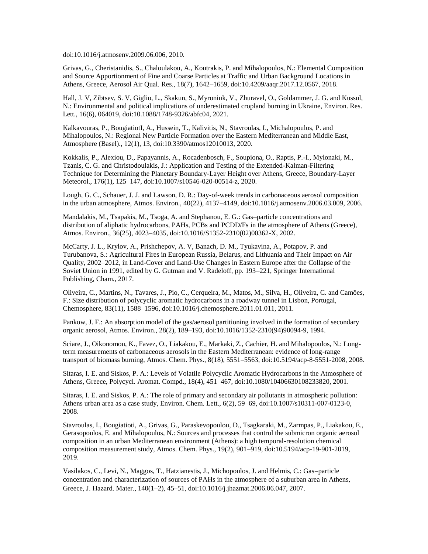doi:10.1016/j.atmosenv.2009.06.006, 2010.

Grivas, G., Cheristanidis, S., Chaloulakou, A., Koutrakis, P. and Mihalopoulos, N.: Elemental Composition and Source Apportionment of Fine and Coarse Particles at Traffic and Urban Background Locations in Athens, Greece, Aerosol Air Qual. Res., 18(7), 1642–1659, doi:10.4209/aaqr.2017.12.0567, 2018.

Hall, J. V, Zibtsev, S. V, Giglio, L., Skakun, S., Myroniuk, V., Zhuravel, O., Goldammer, J. G. and Kussul, N.: Environmental and political implications of underestimated cropland burning in Ukraine, Environ. Res. Lett., 16(6), 064019, doi:10.1088/1748-9326/abfc04, 2021.

Kalkavouras, P., BougiatiotI, A., Hussein, T., Kalivitis, N., Stavroulas, I., Michalopoulos, P. and Mihalopoulos, N.: Regional New Particle Formation over the Eastern Mediterranean and Middle East, Atmosphere (Basel)., 12(1), 13, doi:10.3390/atmos12010013, 2020.

Kokkalis, P., Alexiou, D., Papayannis, A., Rocadenbosch, F., Soupiona, O., Raptis, P.-I., Mylonaki, M., Tzanis, C. G. and Christodoulakis, J.: Application and Testing of the Extended-Kalman-Filtering Technique for Determining the Planetary Boundary-Layer Height over Athens, Greece, Boundary-Layer Meteorol., 176(1), 125–147, doi:10.1007/s10546-020-00514-z, 2020.

Lough, G. C., Schauer, J. J. and Lawson, D. R.: Day-of-week trends in carbonaceous aerosol composition in the urban atmosphere, Atmos. Environ., 40(22), 4137–4149, doi:10.1016/j.atmosenv.2006.03.009, 2006.

Mandalakis, M., Tsapakis, M., Tsoga, A. and Stephanou, E. G.: Gas–particle concentrations and distribution of aliphatic hydrocarbons, PAHs, PCBs and PCDD/Fs in the atmosphere of Athens (Greece), Atmos. Environ., 36(25), 4023–4035, doi:10.1016/S1352-2310(02)00362-X, 2002.

McCarty, J. L., Krylov, A., Prishchepov, A. V, Banach, D. M., Tyukavina, A., Potapov, P. and Turubanova, S.: Agricultural Fires in European Russia, Belarus, and Lithuania and Their Impact on Air Quality, 2002–2012, in Land-Cover and Land-Use Changes in Eastern Europe after the Collapse of the Soviet Union in 1991, edited by G. Gutman and V. Radeloff, pp. 193–221, Springer International Publishing, Cham., 2017.

Oliveira, C., Martins, N., Tavares, J., Pio, C., Cerqueira, M., Matos, M., Silva, H., Oliveira, C. and Camões, F.: Size distribution of polycyclic aromatic hydrocarbons in a roadway tunnel in Lisbon, Portugal, Chemosphere, 83(11), 1588–1596, doi:10.1016/j.chemosphere.2011.01.011, 2011.

Pankow, J. F.: An absorption model of the gas/aerosol partitioning involved in the formation of secondary organic aerosol, Atmos. Environ., 28(2), 189–193, doi:10.1016/1352-2310(94)90094-9, 1994.

Sciare, J., Oikonomou, K., Favez, O., Liakakou, E., Markaki, Z., Cachier, H. and Mihalopoulos, N.: Longterm measurements of carbonaceous aerosols in the Eastern Mediterranean: evidence of long-range transport of biomass burning, Atmos. Chem. Phys., 8(18), 5551–5563, doi:10.5194/acp-8-5551-2008, 2008.

Sitaras, I. E. and Siskos, P. A.: Levels of Volatile Polycyclic Aromatic Hydrocarbons in the Atmosphere of Athens, Greece, Polycycl. Aromat. Compd., 18(4), 451–467, doi:10.1080/10406630108233820, 2001.

Sitaras, I. E. and Siskos, P. A.: The role of primary and secondary air pollutants in atmospheric pollution: Athens urban area as a case study, Environ. Chem. Lett., 6(2), 59–69, doi:10.1007/s10311-007-0123-0, 2008.

Stavroulas, I., Bougiatioti, A., Grivas, G., Paraskevopoulou, D., Tsagkaraki, M., Zarmpas, P., Liakakou, E., Gerasopoulos, E. and Mihalopoulos, N.: Sources and processes that control the submicron organic aerosol composition in an urban Mediterranean environment (Athens): a high temporal-resolution chemical composition measurement study, Atmos. Chem. Phys., 19(2), 901–919, doi:10.5194/acp-19-901-2019, 2019.

Vasilakos, C., Levi, N., Maggos, T., Hatzianestis, J., Michopoulos, J. and Helmis, C.: Gas–particle concentration and characterization of sources of PAHs in the atmosphere of a suburban area in Athens, Greece, J. Hazard. Mater., 140(1–2), 45–51, doi:10.1016/j.jhazmat.2006.06.047, 2007.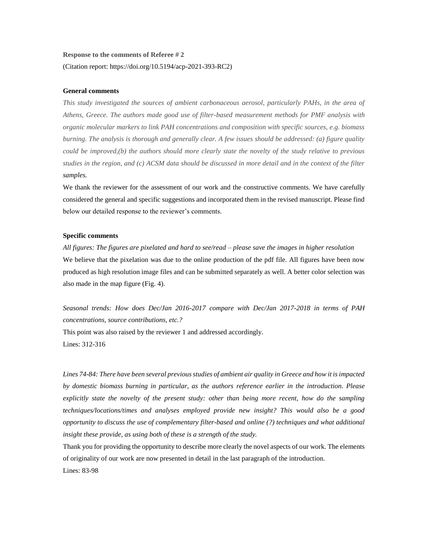# **Response to the comments of Referee # 2** (Citation report: https://doi.org/10.5194/acp-2021-393-RC2)

# **General comments**

*This study investigated the sources of ambient carbonaceous aerosol, particularly PAHs, in the area of Athens, Greece. The authors made good use of filter-based measurement methods for PMF analysis with organic molecular markers to link PAH concentrations and composition with specific sources, e.g. biomass burning. The analysis is thorough and generally clear. A few issues should be addressed: (a) figure quality could be improved,(b) the authors should more clearly state the novelty of the study relative to previous studies in the region, and (c) ACSM data should be discussed in more detail and in the context of the filter samples.*

We thank the reviewer for the assessment of our work and the constructive comments. We have carefully considered the general and specific suggestions and incorporated them in the revised manuscript. Please find below our detailed response to the reviewer's comments.

## **Specific comments**

*All figures: The figures are pixelated and hard to see/read – please save the images in higher resolution*  We believe that the pixelation was due to the online production of the pdf file. All figures have been now produced as high resolution image files and can be submitted separately as well. A better color selection was also made in the map figure (Fig. 4).

*Seasonal trends: How does Dec/Jan 2016-2017 compare with Dec/Jan 2017-2018 in terms of PAH concentrations, source contributions, etc.?*

This point was also raised by the reviewer 1 and addressed accordingly. Lines: 312-316

*Lines 74-84: There have been several previous studies of ambient air quality in Greece and how it is impacted by domestic biomass burning in particular, as the authors reference earlier in the introduction. Please explicitly state the novelty of the present study: other than being more recent, how do the sampling techniques/locations/times and analyses employed provide new insight? This would also be a good opportunity to discuss the use of complementary filter-based and online (?) techniques and what additional insight these provide, as using both of these is a strength of the study.*

Thank you for providing the opportunity to describe more clearly the novel aspects of our work. The elements of originality of our work are now presented in detail in the last paragraph of the introduction. Lines: 83-98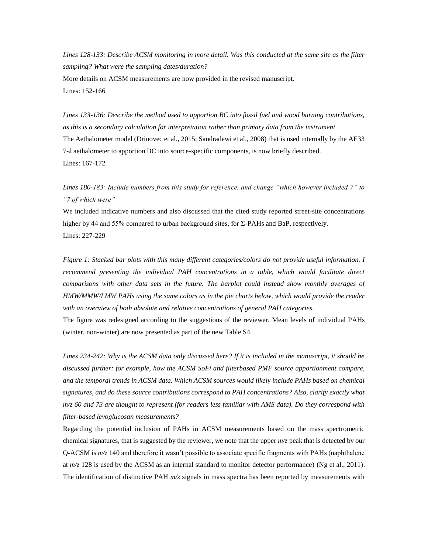*Lines 128-133: Describe ACSM monitoring in more detail. Was this conducted at the same site as the filter sampling? What were the sampling dates/duration?* More details on ACSM measurements are now provided in the revised manuscript. Lines: 152-166

*Lines 133-136: Describe the method used to apportion BC into fossil fuel and wood burning contributions, as this is a secondary calculation for interpretation rather than primary data from the instrument* The Aethalometer model (Drinovec et al., 2015; Sandradewi et al., 2008) that is used internally by the AE33 7-*λ* aethalometer to apportion BC into source-specific components, is now briefly described. Lines: 167-172

*Lines 180-183: Include numbers from this study for reference, and change "which however included 7" to "7 of which were"*

We included indicative numbers and also discussed that the cited study reported street-site concentrations higher by 44 and 55% compared to urban background sites, for Σ-PAHs and BaP, respectively. Lines: 227-229

*Figure 1: Stacked bar plots with this many different categories/colors do not provide useful information. I*  recommend presenting the individual PAH concentrations in a table, which would facilitate direct *comparisons with other data sets in the future. The barplot could instead show monthly averages of HMW/MMW/LMW PAHs using the same colors as in the pie charts below, which would provide the reader with an overview of both absolute and relative concentrations of general PAH categories.*

The figure was redesigned according to the suggestions of the reviewer. Mean levels of individual PAHs (winter, non-winter) are now presented as part of the new Table S4.

*Lines 234-242: Why is the ACSM data only discussed here? If it is included in the manuscript, it should be discussed further: for example, how the ACSM SoFi and filterbased PMF source apportionment compare, and the temporal trends in ACSM data. Which ACSM sources would likely include PAHs based on chemical signatures, and do these source contributions correspond to PAH concentrations? Also, clarify exactly what m/z 60 and 73 are thought to represent (for readers less familiar with AMS data). Do they correspond with filter-based levoglucosan measurements?*

Regarding the potential inclusion of PAHs in ACSM measurements based on the mass spectrometric chemical signatures, that is suggested by the reviewer, we note that the upper *m/z* peak that is detected by our Q-ACSM is *m/z* 140 and therefore it wasn't possible to associate specific fragments with PAHs (naphthalene at *m/z* 128 is used by the ACSM as an internal standard to monitor detector performance) (Ng et al., 2011). The identification of distinctive PAH *m/z* signals in mass spectra has been reported by measurements with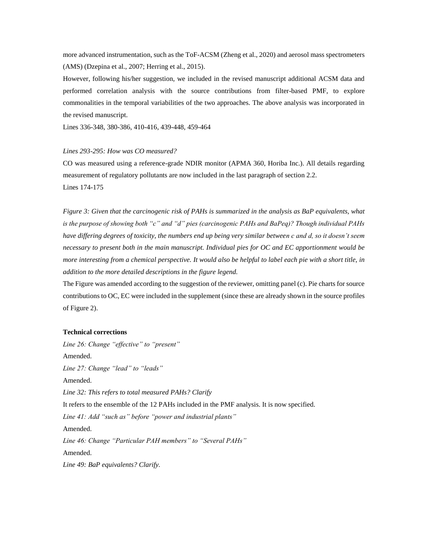more advanced instrumentation, such as the ToF-ACSM (Zheng et al., 2020) and aerosol mass spectrometers (AMS) (Dzepina et al., 2007; Herring et al., 2015).

However, following his/her suggestion, we included in the revised manuscript additional ACSM data and performed correlation analysis with the source contributions from filter-based PMF, to explore commonalities in the temporal variabilities of the two approaches. The above analysis was incorporated in the revised manuscript.

Lines 336-348, 380-386, 410-416, 439-448, 459-464

#### *Lines 293-295: How was CO measured?*

CO was measured using a reference-grade NDIR monitor (APMA 360, Horiba Inc.). All details regarding measurement of regulatory pollutants are now included in the last paragraph of section 2.2. Lines 174-175

*Figure 3: Given that the carcinogenic risk of PAHs is summarized in the analysis as BaP equivalents, what is the purpose of showing both "c" and "d" pies (carcinogenic PAHs and BaPeq)? Though individual PAHs have differing degrees of toxicity, the numbers end up being very similar between c and d, so it doesn't seem necessary to present both in the main manuscript. Individual pies for OC and EC apportionment would be more interesting from a chemical perspective. It would also be helpful to label each pie with a short title, in addition to the more detailed descriptions in the figure legend.*

The Figure was amended according to the suggestion of the reviewer, omitting panel (c). Pie charts for source contributions to OC, EC were included in the supplement (since these are already shown in the source profiles of Figure 2).

## **Technical corrections**

*Line 26: Change "effective" to "present"* Amended. *Line 27: Change "lead" to "leads"* Amended. *Line 32: This refers to total measured PAHs? Clarify* It refers to the ensemble of the 12 PAHs included in the PMF analysis. It is now specified. *Line 41: Add "such as" before "power and industrial plants"* Amended. *Line 46: Change "Particular PAH members" to "Several PAHs"* Amended. *Line 49: BaP equivalents? Clarify.*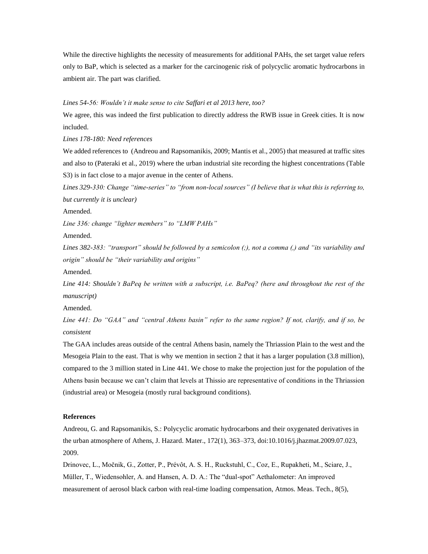While the directive highlights the necessity of measurements for additional PAHs, the set target value refers only to BaP, which is selected as a marker for the carcinogenic risk of polycyclic aromatic hydrocarbons in ambient air. The part was clarified.

## *Lines 54-56: Wouldn't it make sense to cite Saffari et al 2013 here, too?*

We agree, this was indeed the first publication to directly address the RWB issue in Greek cities. It is now included.

*Lines 178-180: Need references*

We added references to (Andreou and Rapsomanikis, 2009; Mantis et al., 2005) that measured at traffic sites and also to (Pateraki et al., 2019) where the urban industrial site recording the highest concentrations (Table S3) is in fact close to a major avenue in the center of Athens.

*Lines 329-330: Change "time-series" to "from non-local sources" (I believe that is what this is referring to, but currently it is unclear)*

Amended.

*Line 336: change "lighter members" to "LMW PAHs"*

Amended.

*Lines 382-383: "transport" should be followed by a semicolon (;), not a comma (,) and "its variability and origin" should be "their variability and origins"*

Amended.

*Line 414: Shouldn't BaPeq be written with a subscript, i.e. BaPeq? (here and throughout the rest of the manuscript)*

Amended.

*Line 441: Do "GAA" and "central Athens basin" refer to the same region? If not, clarify, and if so, be consistent*

The GAA includes areas outside of the central Athens basin, namely the Thriassion Plain to the west and the Mesogeia Plain to the east. That is why we mention in section 2 that it has a larger population (3.8 million), compared to the 3 million stated in Line 441. We chose to make the projection just for the population of the Athens basin because we can't claim that levels at Thissio are representative of conditions in the Thriassion (industrial area) or Mesogeia (mostly rural background conditions).

## **References**

Andreou, G. and Rapsomanikis, S.: Polycyclic aromatic hydrocarbons and their oxygenated derivatives in the urban atmosphere of Athens, J. Hazard. Mater., 172(1), 363–373, doi:10.1016/j.jhazmat.2009.07.023, 2009.

Drinovec, L., Močnik, G., Zotter, P., Prévôt, A. S. H., Ruckstuhl, C., Coz, E., Rupakheti, M., Sciare, J., Müller, T., Wiedensohler, A. and Hansen, A. D. A.: The "dual-spot" Aethalometer: An improved measurement of aerosol black carbon with real-time loading compensation, Atmos. Meas. Tech., 8(5),